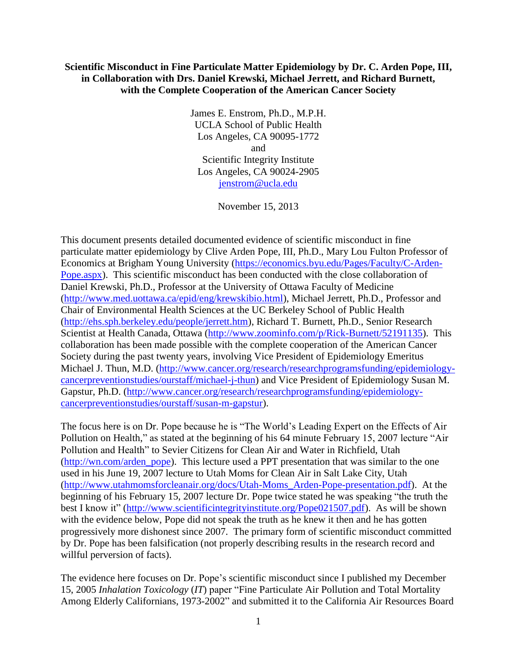## **Scientific Misconduct in Fine Particulate Matter Epidemiology by Dr. C. Arden Pope, III, in Collaboration with Drs. Daniel Krewski, Michael Jerrett, and Richard Burnett, with the Complete Cooperation of the American Cancer Society**

James E. Enstrom, Ph.D., M.P.H. UCLA School of Public Health Los Angeles, CA 90095-1772 and Scientific Integrity Institute Los Angeles, CA 90024-2905 [jenstrom@ucla.edu](mailto:jenstrom@ucla.edu)

November 15, 2013

This document presents detailed documented evidence of scientific misconduct in fine particulate matter epidemiology by Clive Arden Pope, III, Ph.D., Mary Lou Fulton Professor of Economics at Brigham Young University [\(https://economics.byu.edu/Pages/Faculty/C-Arden-](https://economics.byu.edu/Pages/Faculty/C-Arden-Pope.aspx)[Pope.aspx\)](https://economics.byu.edu/Pages/Faculty/C-Arden-Pope.aspx). This scientific misconduct has been conducted with the close collaboration of Daniel Krewski, Ph.D., Professor at the University of Ottawa Faculty of Medicine [\(http://www.med.uottawa.ca/epid/eng/krewskibio.html\)](http://www.med.uottawa.ca/epid/eng/krewskibio.html), Michael Jerrett, Ph.D., Professor and Chair of Environmental Health Sciences at the UC Berkeley School of Public Health [\(http://ehs.sph.berkeley.edu/people/jerrett.htm\)](http://ehs.sph.berkeley.edu/people/jerrett.htm), Richard T. Burnett, Ph.D., Senior Research Scientist at Health Canada, Ottawa [\(http://www.zoominfo.com/p/Rick-Burnett/52191135\)](http://www.zoominfo.com/p/Rick-Burnett/52191135). This collaboration has been made possible with the complete cooperation of the American Cancer Society during the past twenty years, involving Vice President of Epidemiology Emeritus Michael J. Thun, M.D. [\(http://www.cancer.org/research/researchprogramsfunding/epidemiology](http://www.cancer.org/research/researchprogramsfunding/epidemiology-cancerpreventionstudies/ourstaff/michael-j-thun)[cancerpreventionstudies/ourstaff/michael-j-thun\)](http://www.cancer.org/research/researchprogramsfunding/epidemiology-cancerpreventionstudies/ourstaff/michael-j-thun) and Vice President of Epidemiology Susan M. Gapstur, Ph.D. [\(http://www.cancer.org/research/researchprogramsfunding/epidemiology](http://www.cancer.org/research/researchprogramsfunding/epidemiology-cancerpreventionstudies/ourstaff/susan-m-gapstur)[cancerpreventionstudies/ourstaff/susan-m-gapstur\)](http://www.cancer.org/research/researchprogramsfunding/epidemiology-cancerpreventionstudies/ourstaff/susan-m-gapstur).

The focus here is on Dr. Pope because he is "The World's Leading Expert on the Effects of Air Pollution on Health," as stated at the beginning of his 64 minute February 15, 2007 lecture "Air Pollution and Health" to Sevier Citizens for Clean Air and Water in Richfield, Utah [\(http://wn.com/arden\\_pope\)](http://wn.com/arden_pope). This lecture used a PPT presentation that was similar to the one used in his June 19, 2007 lecture to Utah Moms for Clean Air in Salt Lake City, Utah [\(http://www.utahmomsforcleanair.org/docs/Utah-Moms\\_Arden-Pope-presentation.pdf\)](http://www.utahmomsforcleanair.org/docs/Utah-Moms_Arden-Pope-presentation.pdf). At the beginning of his February 15, 2007 lecture Dr. Pope twice stated he was speaking "the truth the best I know it" [\(http://www.scientificintegrityinstitute.org/Pope021507.pdf\)](http://scientificintegrityinstitute.org/Pope021507.pdf). As will be shown with the evidence below, Pope did not speak the truth as he knew it then and he has gotten progressively more dishonest since 2007. The primary form of scientific misconduct committed by Dr. Pope has been falsification (not properly describing results in the research record and willful perversion of facts).

The evidence here focuses on Dr. Pope's scientific misconduct since I published my December 15, 2005 *Inhalation Toxicology* (*IT*) paper "Fine Particulate Air Pollution and Total Mortality Among Elderly Californians, 1973-2002" and submitted it to the California Air Resources Board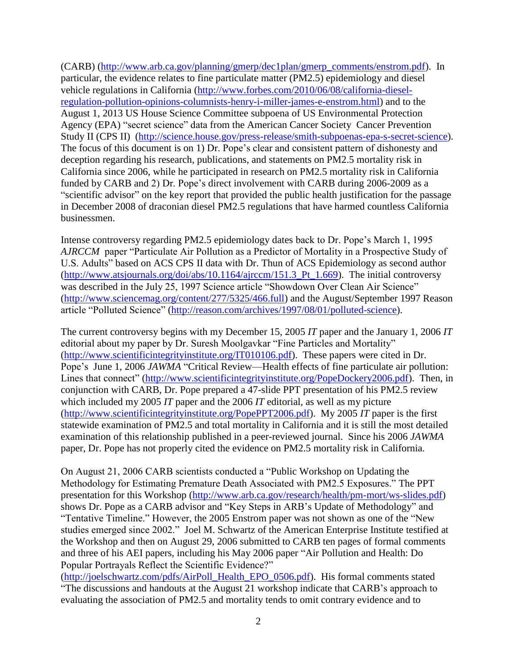(CARB) [\(http://www.arb.ca.gov/planning/gmerp/dec1plan/gmerp\\_comments/enstrom.pdf\)](http://www.arb.ca.gov/planning/gmerp/dec1plan/gmerp_comments/enstrom.pdf). In particular, the evidence relates to fine particulate matter (PM2.5) epidemiology and diesel vehicle regulations in California [\(http://www.forbes.com/2010/06/08/california-diesel](http://www.forbes.com/2010/06/08/california-diesel-regulation-pollution-opinions-columnists-henry-i-miller-james-e-enstrom.html)[regulation-pollution-opinions-columnists-henry-i-miller-james-e-enstrom.html\)](http://www.forbes.com/2010/06/08/california-diesel-regulation-pollution-opinions-columnists-henry-i-miller-james-e-enstrom.html) and to the August 1, 2013 US House Science Committee subpoena of US Environmental Protection Agency (EPA) "secret science" data from the American Cancer Society Cancer Prevention Study II (CPS II) [\(http://science.house.gov/press-release/smith-subpoenas-epa-s-secret-science\)](http://science.house.gov/press-release/smith-subpoenas-epa-s-secret-science). The focus of this document is on 1) Dr. Pope's clear and consistent pattern of dishonesty and deception regarding his research, publications, and statements on PM2.5 mortality risk in California since 2006, while he participated in research on PM2.5 mortality risk in California funded by CARB and 2) Dr. Pope's direct involvement with CARB during 2006-2009 as a "scientific advisor" on the key report that provided the public health justification for the passage in December 2008 of draconian diesel PM2.5 regulations that have harmed countless California businessmen.

Intense controversy regarding PM2.5 epidemiology dates back to Dr. Pope's March 1, 1995 *AJRCCM* paper "Particulate Air Pollution as a Predictor of Mortality in a Prospective Study of U.S. Adults" based on ACS CPS II data with Dr. Thun of ACS Epidemiology as second author [\(http://www.atsjournals.org/doi/abs/10.1164/ajrccm/151.3\\_Pt\\_1.669\)](http://www.atsjournals.org/doi/abs/10.1164/ajrccm/151.3_Pt_1.669). The initial controversy was described in the July 25, 1997 Science article "Showdown Over Clean Air Science" [\(http://www.sciencemag.org/content/277/5325/466.full\)](http://www.sciencemag.org/content/277/5325/466.full) and the August/September 1997 Reason article "Polluted Science" [\(http://reason.com/archives/1997/08/01/polluted-science\)](http://reason.com/archives/1997/08/01/polluted-science).

The current controversy begins with my December 15, 2005 *IT* paper and the January 1, 2006 *IT* editorial about my paper by Dr. Suresh Moolgavkar "Fine Particles and Mortality" [\(http://www.scientificintegrityinstitute.org/IT010106.pdf\)](http://www.scientificintegrityinstitute.org/IT010106.pdf). These papers were cited in Dr. Pope's June 1, 2006 *JAWMA* "Critical Review—Health effects of fine particulate air pollution: Lines that connect" [\(http://www.scientificintegrityinstitute.org/PopeDockery2006.pdf\)](http://www.scientificintegrityinstitute.org/PopeDockery2006.pdf). Then, in conjunction with CARB, Dr. Pope prepared a 47-slide PPT presentation of his PM2.5 review which included my 2005 *IT* paper and the 2006 *IT* editorial, as well as my picture [\(http://www.scientificintegrityinstitute.org/PopePPT2006.pdf\)](http://www.scientificintegrityinstitute.org/PopePPT2006.pdf). My 2005 *IT* paper is the first statewide examination of PM2.5 and total mortality in California and it is still the most detailed examination of this relationship published in a peer-reviewed journal. Since his 2006 *JAWMA* paper, Dr. Pope has not properly cited the evidence on PM2.5 mortality risk in California.

On August 21, 2006 CARB scientists conducted a "Public Workshop on Updating the Methodology for Estimating Premature Death Associated with PM2.5 Exposures." The PPT presentation for this Workshop [\(http://www.arb.ca.gov/research/health/pm-mort/ws-slides.pdf\)](http://www.arb.ca.gov/research/health/pm-mort/ws-slides.pdf) shows Dr. Pope as a CARB advisor and "Key Steps in ARB's Update of Methodology" and "Tentative Timeline." However, the 2005 Enstrom paper was not shown as one of the "New studies emerged since 2002." Joel M. Schwartz of the American Enterprise Institute testified at the Workshop and then on August 29, 2006 submitted to CARB ten pages of formal comments and three of his AEI papers, including his May 2006 paper "Air Pollution and Health: Do Popular Portrayals Reflect the Scientific Evidence?"

[\(http://joelschwartz.com/pdfs/AirPoll\\_Health\\_EPO\\_0506.pdf\)](http://joelschwartz.com/pdfs/AirPoll_Health_EPO_0506.pdf). His formal comments stated "The discussions and handouts at the August 21 workshop indicate that CARB's approach to evaluating the association of PM2.5 and mortality tends to omit contrary evidence and to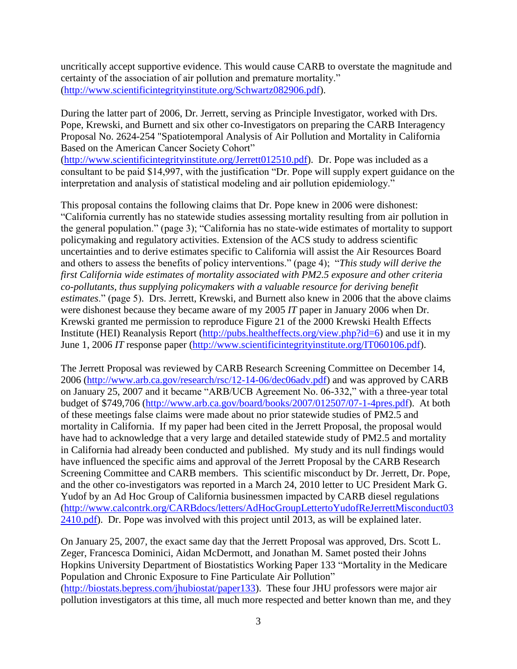uncritically accept supportive evidence. This would cause CARB to overstate the magnitude and certainty of the association of air pollution and premature mortality." [\(http://www.scientificintegrityinstitute.org/Schwartz082906.pdf\)](http://www.scientificintegrityinstitute.org/Schwartz082906.pdf).

During the latter part of 2006, Dr. Jerrett, serving as Principle Investigator, worked with Drs. Pope, Krewski, and Burnett and six other co-Investigators on preparing the CARB Interagency Proposal No. 2624-254 "Spatiotemporal Analysis of Air Pollution and Mortality in California Based on the American Cancer Society Cohort"

[\(http://www.scientificintegrityinstitute.org/Jerrett012510.pdf\)](http://www.scientificintegrityinstitute.org/Jerrett012510.pdf). Dr. Pope was included as a consultant to be paid \$14,997, with the justification "Dr. Pope will supply expert guidance on the interpretation and analysis of statistical modeling and air pollution epidemiology."

This proposal contains the following claims that Dr. Pope knew in 2006 were dishonest: "California currently has no statewide studies assessing mortality resulting from air pollution in the general population." (page 3); "California has no state-wide estimates of mortality to support policymaking and regulatory activities. Extension of the ACS study to address scientific uncertainties and to derive estimates specific to California will assist the Air Resources Board and others to assess the benefits of policy interventions." (page 4); "*This study will derive the first California wide estimates of mortality associated with PM2.5 exposure and other criteria co-pollutants, thus supplying policymakers with a valuable resource for deriving benefit estimates*." (page 5). Drs. Jerrett, Krewski, and Burnett also knew in 2006 that the above claims were dishonest because they became aware of my 2005 *IT* paper in January 2006 when Dr. Krewski granted me permission to reproduce Figure 21 of the 2000 Krewski Health Effects Institute (HEI) Reanalysis Report [\(http://pubs.healtheffects.org/view.php?id=6\)](http://pubs.healtheffects.org/view.php?id=6) and use it in my June 1, 2006 *IT* response paper [\(http://www.scientificintegrityinstitute.org/IT060106.pdf\)](http://www.scientificintegrityinstitute.org/IT060106.pdf).

The Jerrett Proposal was reviewed by CARB Research Screening Committee on December 14, 2006 [\(http://www.arb.ca.gov/research/rsc/12-14-06/dec06adv.pdf\)](http://www.arb.ca.gov/research/rsc/12-14-06/dec06adv.pdf) and was approved by CARB on January 25, 2007 and it became "ARB/UCB Agreement No. 06-332," with a three-year total budget of \$749,706 [\(http://www.arb.ca.gov/board/books/2007/012507/07-1-4pres.pdf\)](http://www.arb.ca.gov/board/books/2007/012507/07-1-4pres.pdf). At both of these meetings false claims were made about no prior statewide studies of PM2.5 and mortality in California. If my paper had been cited in the Jerrett Proposal, the proposal would have had to acknowledge that a very large and detailed statewide study of PM2.5 and mortality in California had already been conducted and published. My study and its null findings would have influenced the specific aims and approval of the Jerrett Proposal by the CARB Research Screening Committee and CARB members. This scientific misconduct by Dr. Jerrett, Dr. Pope, and the other co-investigators was reported in a March 24, 2010 letter to UC President Mark G. Yudof by an Ad Hoc Group of California businessmen impacted by CARB diesel regulations [\(http://www.calcontrk.org/CARBdocs/letters/AdHocGroupLettertoYudofReJerrettMisconduct03](http://www.calcontrk.org/CARBdocs/letters/AdHocGroupLettertoYudofReJerrettMisconduct032410.pdf) [2410.pdf\)](http://www.calcontrk.org/CARBdocs/letters/AdHocGroupLettertoYudofReJerrettMisconduct032410.pdf). Dr. Pope was involved with this project until 2013, as will be explained later.

On January 25, 2007, the exact same day that the Jerrett Proposal was approved, Drs. Scott L. Zeger, Francesca Dominici, Aidan McDermott, and Jonathan M. Samet posted their Johns Hopkins University Department of Biostatistics Working Paper 133 "Mortality in the Medicare Population and Chronic Exposure to Fine Particulate Air Pollution" [\(http://biostats.bepress.com/jhubiostat/paper133\)](http://biostats.bepress.com/jhubiostat/paper133). These four JHU professors were major air pollution investigators at this time, all much more respected and better known than me, and they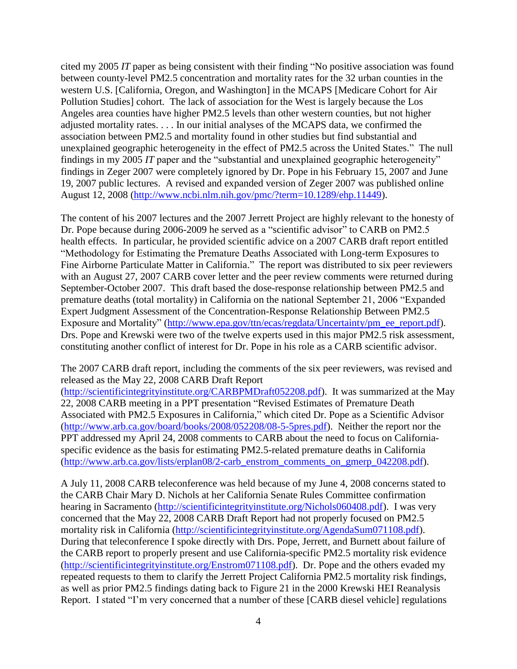cited my 2005 *IT* paper as being consistent with their finding "No positive association was found between county-level PM2.5 concentration and mortality rates for the 32 urban counties in the western U.S. [California, Oregon, and Washington] in the MCAPS [Medicare Cohort for Air Pollution Studies] cohort. The lack of association for the West is largely because the Los Angeles area counties have higher PM2.5 levels than other western counties, but not higher adjusted mortality rates. . . . In our initial analyses of the MCAPS data, we confirmed the association between PM2.5 and mortality found in other studies but find substantial and unexplained geographic heterogeneity in the effect of PM2.5 across the United States." The null findings in my 2005 *IT* paper and the "substantial and unexplained geographic heterogeneity" findings in Zeger 2007 were completely ignored by Dr. Pope in his February 15, 2007 and June 19, 2007 public lectures. A revised and expanded version of Zeger 2007 was published online August 12, 2008 [\(http://www.ncbi.nlm.nih.gov/pmc/?term=10.1289/ehp.11449\)](http://www.ncbi.nlm.nih.gov/pmc/?term=10.1289/ehp.11449).

The content of his 2007 lectures and the 2007 Jerrett Project are highly relevant to the honesty of Dr. Pope because during 2006-2009 he served as a "scientific advisor" to CARB on PM2.5 health effects. In particular, he provided scientific advice on a 2007 CARB draft report entitled "Methodology for Estimating the Premature Deaths Associated with Long-term Exposures to Fine Airborne Particulate Matter in California." The report was distributed to six peer reviewers with an August 27, 2007 CARB cover letter and the peer review comments were returned during September-October 2007. This draft based the dose-response relationship between PM2.5 and premature deaths (total mortality) in California on the national September 21, 2006 "Expanded Expert Judgment Assessment of the Concentration-Response Relationship Between PM2.5 Exposure and Mortality" [\(http://www.epa.gov/ttn/ecas/regdata/Uncertainty/pm\\_ee\\_report.pdf\)](http://www.epa.gov/ttn/ecas/regdata/Uncertainty/pm_ee_report.pdf). Drs. Pope and Krewski were two of the twelve experts used in this major PM2.5 risk assessment, constituting another conflict of interest for Dr. Pope in his role as a CARB scientific advisor.

The 2007 CARB draft report, including the comments of the six peer reviewers, was revised and released as the May 22, 2008 CARB Draft Report

[\(http://scientificintegrityinstitute.org/CARBPMDraft052208.pdf\)](http://scientificintegrityinstitute.org/CARBPMDraft052208.pdf). It was summarized at the May 22, 2008 CARB meeting in a PPT presentation "Revised Estimates of Premature Death Associated with PM2.5 Exposures in California," which cited Dr. Pope as a Scientific Advisor [\(http://www.arb.ca.gov/board/books/2008/052208/08-5-5pres.pdf\)](http://www.arb.ca.gov/board/books/2008/052208/08-5-5pres.pdf). Neither the report nor the PPT addressed my April 24, 2008 comments to CARB about the need to focus on Californiaspecific evidence as the basis for estimating PM2.5-related premature deaths in California [\(http://www.arb.ca.gov/lists/erplan08/2-carb\\_enstrom\\_comments\\_on\\_gmerp\\_042208.pdf\)](http://www.arb.ca.gov/lists/erplan08/2-carb_enstrom_comments_on_gmerp_042208.pdf).

A July 11, 2008 CARB teleconference was held because of my June 4, 2008 concerns stated to the CARB Chair Mary D. Nichols at her California Senate Rules Committee confirmation hearing in Sacramento [\(http://scientificintegrityinstitute.org/Nichols060408.pdf\)](http://scientificintegrityinstitute.org/Nichols060408.pdf). I was very concerned that the May 22, 2008 CARB Draft Report had not properly focused on PM2.5 mortality risk in California [\(http://scientificintegrityinstitute.org/AgendaSum071108.pdf\)](http://scientificintegrityinstitute.org/AgendaSum071108.pdf). During that teleconference I spoke directly with Drs. Pope, Jerrett, and Burnett about failure of the CARB report to properly present and use California-specific PM2.5 mortality risk evidence [\(http://scientificintegrityinstitute.org/Enstrom071108.pdf\)](http://scientificintegrityinstitute.org/Enstrom071108.pdf). Dr. Pope and the others evaded my repeated requests to them to clarify the Jerrett Project California PM2.5 mortality risk findings, as well as prior PM2.5 findings dating back to Figure 21 in the 2000 Krewski HEI Reanalysis Report. I stated "I'm very concerned that a number of these [CARB diesel vehicle] regulations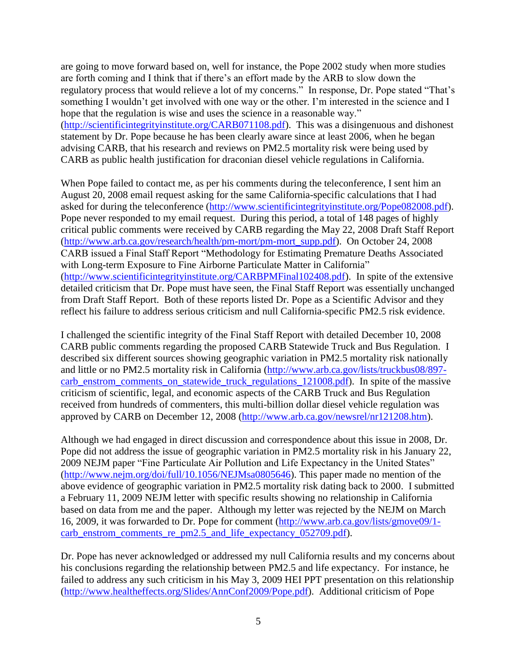are going to move forward based on, well for instance, the Pope 2002 study when more studies are forth coming and I think that if there's an effort made by the ARB to slow down the regulatory process that would relieve a lot of my concerns." In response, Dr. Pope stated "That's something I wouldn't get involved with one way or the other. I'm interested in the science and I hope that the regulation is wise and uses the science in a reasonable way." [\(http://scientificintegrityinstitute.org/CARB071108.pdf\)](http://scientificintegrityinstitute.org/CARB071108.pdf). This was a disingenuous and dishonest statement by Dr. Pope because he has been clearly aware since at least 2006, when he began advising CARB, that his research and reviews on PM2.5 mortality risk were being used by CARB as public health justification for draconian diesel vehicle regulations in California.

When Pope failed to contact me, as per his comments during the teleconference, I sent him an August 20, 2008 email request asking for the same California-specific calculations that I had asked for during the teleconference [\(http://www.scientificintegrityinstitute.org/Pope082008.pdf\)](http://www.scientificintegrityinstitute.org/Pope082008.pdf). Pope never responded to my email request. During this period, a total of 148 pages of highly critical public comments were received by CARB regarding the May 22, 2008 Draft Staff Report [\(http://www.arb.ca.gov/research/health/pm-mort/pm-mort\\_supp.pdf\)](http://www.arb.ca.gov/research/health/pm-mort/pm-mort_supp.pdf). On October 24, 2008 CARB issued a Final Staff Report "Methodology for Estimating Premature Deaths Associated with Long-term Exposure to Fine Airborne Particulate Matter in California" [\(http://www.scientificintegrityinstitute.org/CARBPMFinal102408.pdf\)](http://www.scientificintegrityinstitute.org/CARBPMFinal102408.pdf). In spite of the extensive detailed criticism that Dr. Pope must have seen, the Final Staff Report was essentially unchanged from Draft Staff Report. Both of these reports listed Dr. Pope as a Scientific Advisor and they reflect his failure to address serious criticism and null California-specific PM2.5 risk evidence.

I challenged the scientific integrity of the Final Staff Report with detailed December 10, 2008 CARB public comments regarding the proposed CARB Statewide Truck and Bus Regulation. I described six different sources showing geographic variation in PM2.5 mortality risk nationally and little or no PM2.5 mortality risk in California [\(http://www.arb.ca.gov/lists/truckbus08/897](http://www.arb.ca.gov/lists/truckbus08/897-carb_enstrom_comments_on_statewide_truck_regulations_121008.pdf) carb enstrom comments on statewide truck regulations 121008.pdf). In spite of the massive criticism of scientific, legal, and economic aspects of the CARB Truck and Bus Regulation received from hundreds of commenters, this multi-billion dollar diesel vehicle regulation was approved by CARB on December 12, 2008 [\(http://www.arb.ca.gov/newsrel/nr121208.htm\)](http://www.arb.ca.gov/newsrel/nr121208.htm).

Although we had engaged in direct discussion and correspondence about this issue in 2008, Dr. Pope did not address the issue of geographic variation in PM2.5 mortality risk in his January 22, 2009 NEJM paper "Fine Particulate Air Pollution and Life Expectancy in the United States" [\(http://www.nejm.org/doi/full/10.1056/NEJMsa0805646\)](http://www.nejm.org/doi/full/10.1056/NEJMsa0805646). This paper made no mention of the above evidence of geographic variation in PM2.5 mortality risk dating back to 2000. I submitted a February 11, 2009 NEJM letter with specific results showing no relationship in California based on data from me and the paper. Although my letter was rejected by the NEJM on March 16, 2009, it was forwarded to Dr. Pope for comment [\(http://www.arb.ca.gov/lists/gmove09/1](http://www.arb.ca.gov/lists/gmove09/1-carb_enstrom_comments_re_pm2.5_and_life_expectancy_052709.pdf) [carb\\_enstrom\\_comments\\_re\\_pm2.5\\_and\\_life\\_expectancy\\_052709.pdf\)](http://www.arb.ca.gov/lists/gmove09/1-carb_enstrom_comments_re_pm2.5_and_life_expectancy_052709.pdf).

Dr. Pope has never acknowledged or addressed my null California results and my concerns about his conclusions regarding the relationship between PM2.5 and life expectancy. For instance, he failed to address any such criticism in his May 3, 2009 HEI PPT presentation on this relationship [\(http://www.healtheffects.org/Slides/AnnConf2009/Pope.pdf\)](http://www.healtheffects.org/Slides/AnnConf2009/Pope.pdf). Additional criticism of Pope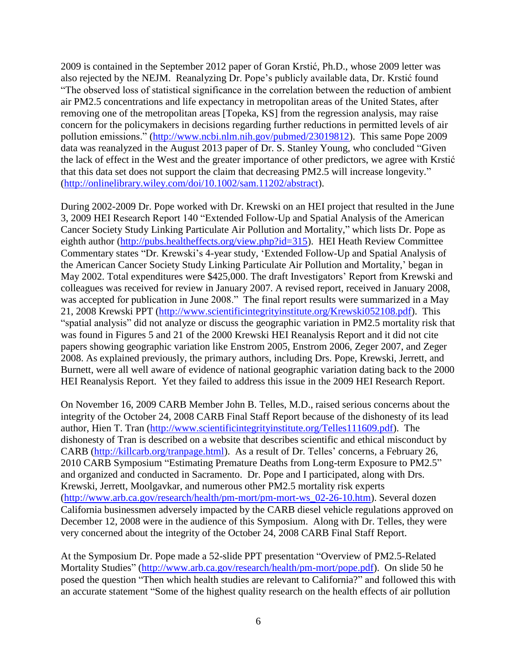2009 is contained in the September 2012 paper of Goran Krstić, Ph.D., whose 2009 letter was also rejected by the NEJM. Reanalyzing Dr. Pope's publicly available data, Dr. Krstić found "The observed loss of statistical significance in the correlation between the reduction of ambient air PM2.5 concentrations and life expectancy in metropolitan areas of the United States, after removing one of the metropolitan areas [Topeka, KS] from the regression analysis, may raise concern for the policymakers in decisions regarding further reductions in permitted levels of air pollution emissions." [\(http://www.ncbi.nlm.nih.gov/pubmed/23019812\)](http://www.ncbi.nlm.nih.gov/pubmed/23019812). This same Pope 2009 data was reanalyzed in the August 2013 paper of Dr. S. Stanley Young, who concluded "Given the lack of effect in the West and the greater importance of other predictors, we agree with Krstić that this data set does not support the claim that decreasing PM2.5 will increase longevity." [\(http://onlinelibrary.wiley.com/doi/10.1002/sam.11202/abstract\)](http://onlinelibrary.wiley.com/doi/10.1002/sam.11202/abstract).

During 2002-2009 Dr. Pope worked with Dr. Krewski on an HEI project that resulted in the June 3, 2009 HEI Research Report 140 "Extended Follow-Up and Spatial Analysis of the American Cancer Society Study Linking Particulate Air Pollution and Mortality," which lists Dr. Pope as eighth author [\(http://pubs.healtheffects.org/view.php?id=315\)](http://pubs.healtheffects.org/view.php?id=315). HEI Heath Review Committee Commentary states "Dr. Krewski's 4-year study, 'Extended Follow-Up and Spatial Analysis of the American Cancer Society Study Linking Particulate Air Pollution and Mortality,' began in May 2002. Total expenditures were \$425,000. The draft Investigators' Report from Krewski and colleagues was received for review in January 2007. A revised report, received in January 2008, was accepted for publication in June 2008." The final report results were summarized in a May 21, 2008 Krewski PPT [\(http://www.scientificintegrityinstitute.org/Krewski052108.pdf\)](http://www.scientificintegrityinstitute.org/Krewski052108.pdf). This "spatial analysis" did not analyze or discuss the geographic variation in PM2.5 mortality risk that was found in Figures 5 and 21 of the 2000 Krewski HEI Reanalysis Report and it did not cite papers showing geographic variation like Enstrom 2005, Enstrom 2006, Zeger 2007, and Zeger 2008. As explained previously, the primary authors, including Drs. Pope, Krewski, Jerrett, and Burnett, were all well aware of evidence of national geographic variation dating back to the 2000 HEI Reanalysis Report. Yet they failed to address this issue in the 2009 HEI Research Report.

On November 16, 2009 CARB Member John B. Telles, M.D., raised serious concerns about the integrity of the October 24, 2008 CARB Final Staff Report because of the dishonesty of its lead author, Hien T. Tran [\(http://www.scientificintegrityinstitute.org/Telles111609.pdf\)](http://www.scientificintegrityinstitute.org/Telles111609.pdf). The dishonesty of Tran is described on a website that describes scientific and ethical misconduct by CARB [\(http://killcarb.org/tranpage.html\)](http://killcarb.org/tranpage.html). As a result of Dr. Telles' concerns, a February 26, 2010 CARB Symposium "Estimating Premature Deaths from Long-term Exposure to PM2.5" and organized and conducted in Sacramento. Dr. Pope and I participated, along with Drs. Krewski, Jerrett, Moolgavkar, and numerous other PM2.5 mortality risk experts [\(http://www.arb.ca.gov/research/health/pm-mort/pm-mort-ws\\_02-26-10.htm\)](http://www.arb.ca.gov/research/health/pm-mort/pm-mort-ws_02-26-10.htm). Several dozen California businessmen adversely impacted by the CARB diesel vehicle regulations approved on December 12, 2008 were in the audience of this Symposium. Along with Dr. Telles, they were very concerned about the integrity of the October 24, 2008 CARB Final Staff Report.

At the Symposium Dr. Pope made a 52-slide PPT presentation "Overview of PM2.5-Related Mortality Studies" [\(http://www.arb.ca.gov/research/health/pm-mort/pope.pdf\)](http://www.arb.ca.gov/research/health/pm-mort/pope.pdf). On slide 50 he posed the question "Then which health studies are relevant to California?" and followed this with an accurate statement "Some of the highest quality research on the health effects of air pollution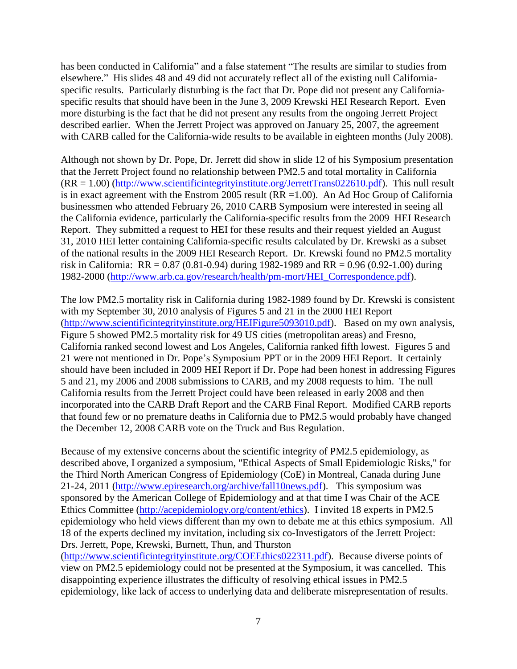has been conducted in California" and a false statement "The results are similar to studies from elsewhere." His slides 48 and 49 did not accurately reflect all of the existing null Californiaspecific results. Particularly disturbing is the fact that Dr. Pope did not present any Californiaspecific results that should have been in the June 3, 2009 Krewski HEI Research Report. Even more disturbing is the fact that he did not present any results from the ongoing Jerrett Project described earlier. When the Jerrett Project was approved on January 25, 2007, the agreement with CARB called for the California-wide results to be available in eighteen months (July 2008).

Although not shown by Dr. Pope, Dr. Jerrett did show in slide 12 of his Symposium presentation that the Jerrett Project found no relationship between PM2.5 and total mortality in California  $(RR = 1.00)$  [\(http://www.scientificintegrityinstitute.org/JerrettTrans022610.pdf\)](http://www.scientificintegrityinstitute.org/JerrettTrans022610.pdf). This null result is in exact agreement with the Enstrom 2005 result  $(RR = 1.00)$ . An Ad Hoc Group of California businessmen who attended February 26, 2010 CARB Symposium were interested in seeing all the California evidence, particularly the California-specific results from the 2009 HEI Research Report. They submitted a request to HEI for these results and their request yielded an August 31, 2010 HEI letter containing California-specific results calculated by Dr. Krewski as a subset of the national results in the 2009 HEI Research Report. Dr. Krewski found no PM2.5 mortality risk in California:  $RR = 0.87 (0.81 - 0.94)$  during 1982-1989 and  $RR = 0.96 (0.92 - 1.00)$  during 1982-2000 [\(http://www.arb.ca.gov/research/health/pm-mort/HEI\\_Correspondence.pdf\)](http://www.arb.ca.gov/research/health/pm-mort/HEI_Correspondence.pdf).

The low PM2.5 mortality risk in California during 1982-1989 found by Dr. Krewski is consistent with my September 30, 2010 analysis of Figures 5 and 21 in the 2000 HEI Report [\(http://www.scientificintegrityinstitute.org/HEIFigure5093010.pdf\)](http://www.scientificintegrityinstitute.org/HEIFigure5093010.pdf). Based on my own analysis, Figure 5 showed PM2.5 mortality risk for 49 US cities (metropolitan areas) and Fresno, California ranked second lowest and Los Angeles, California ranked fifth lowest. Figures 5 and 21 were not mentioned in Dr. Pope's Symposium PPT or in the 2009 HEI Report. It certainly should have been included in 2009 HEI Report if Dr. Pope had been honest in addressing Figures 5 and 21, my 2006 and 2008 submissions to CARB, and my 2008 requests to him. The null California results from the Jerrett Project could have been released in early 2008 and then incorporated into the CARB Draft Report and the CARB Final Report. Modified CARB reports that found few or no premature deaths in California due to PM2.5 would probably have changed the December 12, 2008 CARB vote on the Truck and Bus Regulation.

Because of my extensive concerns about the scientific integrity of PM2.5 epidemiology, as described above, I organized a symposium, "Ethical Aspects of Small Epidemiologic Risks," for the Third North American Congress of Epidemiology (CoE) in Montreal, Canada during June 21-24, 2011 [\(http://www.epiresearch.org/archive/fall10news.pdf\)](http://www.epiresearch.org/archive/fall10news.pdf). This symposium was sponsored by the American College of Epidemiology and at that time I was Chair of the ACE Ethics Committee [\(http://acepidemiology.org/content/ethics\)](http://acepidemiology.org/content/ethics). I invited 18 experts in PM2.5 epidemiology who held views different than my own to debate me at this ethics symposium. All 18 of the experts declined my invitation, including six co-Investigators of the Jerrett Project: Drs. Jerrett, Pope, Krewski, Burnett, Thun, and Thurston

[\(http://www.scientificintegrityinstitute.org/COEEthics022311.pdf\)](http://scientificintegrityinstitute.org/coeethics022311.pdf). Because diverse points of view on PM2.5 epidemiology could not be presented at the Symposium, it was cancelled. This disappointing experience illustrates the difficulty of resolving ethical issues in PM2.5 epidemiology, like lack of access to underlying data and deliberate misrepresentation of results.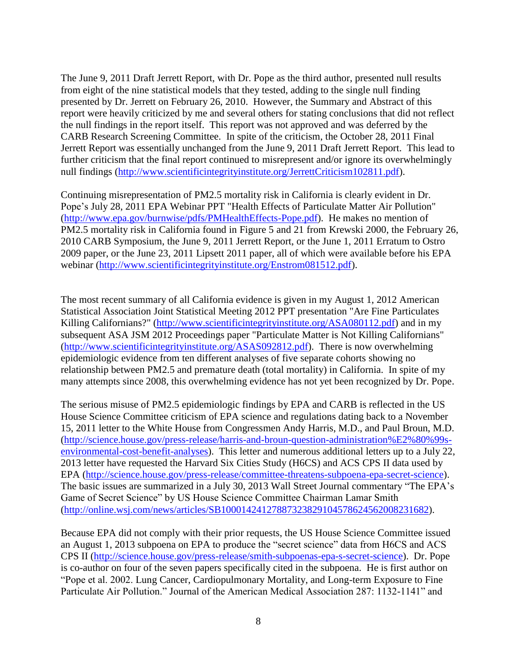The June 9, 2011 Draft Jerrett Report, with Dr. Pope as the third author, presented null results from eight of the nine statistical models that they tested, adding to the single null finding presented by Dr. Jerrett on February 26, 2010. However, the Summary and Abstract of this report were heavily criticized by me and several others for stating conclusions that did not reflect the null findings in the report itself. This report was not approved and was deferred by the CARB Research Screening Committee. In spite of the criticism, the October 28, 2011 Final Jerrett Report was essentially unchanged from the June 9, 2011 Draft Jerrett Report. This lead to further criticism that the final report continued to misrepresent and/or ignore its overwhelmingly null findings [\(http://www.scientificintegrityinstitute.org/JerrettCriticism102811.pdf\)](http://www.scientificintegrityinstitute.org/JerrettCriticism102811.pdf).

Continuing misrepresentation of PM2.5 mortality risk in California is clearly evident in Dr. Pope's July 28, 2011 EPA Webinar PPT "Health Effects of Particulate Matter Air Pollution" [\(http://www.epa.gov/burnwise/pdfs/PMHealthEffects-Pope.pdf\)](http://www.epa.gov/burnwise/pdfs/PMHealthEffects-Pope.pdf). He makes no mention of PM2.5 mortality risk in California found in Figure 5 and 21 from Krewski 2000, the February 26, 2010 CARB Symposium, the June 9, 2011 Jerrett Report, or the June 1, 2011 Erratum to Ostro 2009 paper, or the June 23, 2011 Lipsett 2011 paper, all of which were available before his EPA webinar [\(http://www.scientificintegrityinstitute.org/Enstrom081512.pdf\)](http://scientificintegrityinstitute.org/Enstrom081512.pdf).

The most recent summary of all California evidence is given in my August 1, 2012 American Statistical Association Joint Statistical Meeting 2012 PPT presentation "Are Fine Particulates Killing Californians?" [\(http://www.scientificintegrityinstitute.org/ASA080112.pdf\)](http://www.scientificintegrityinstitute.org/ASA080112.pdf) and in my subsequent ASA JSM 2012 Proceedings paper "Particulate Matter is Not Killing Californians" [\(http://www.scientificintegrityinstitute.org/ASAS092812.pdf\)](http://www.scientificintegrityinstitute.org/asas092812.pdf). There is now overwhelming epidemiologic evidence from ten different analyses of five separate cohorts showing no relationship between PM2.5 and premature death (total mortality) in California. In spite of my many attempts since 2008, this overwhelming evidence has not yet been recognized by Dr. Pope.

The serious misuse of PM2.5 epidemiologic findings by EPA and CARB is reflected in the US House Science Committee criticism of EPA science and regulations dating back to a November 15, 2011 letter to the White House from Congressmen Andy Harris, M.D., and Paul Broun, M.D. [\(http://science.house.gov/press-release/harris-and-broun-question-administration%E2%80%99s](http://science.house.gov/press-release/harris-and-broun-question-administration%E2%80%99s-environmental-cost-benefit-analyses)[environmental-cost-benefit-analyses\)](http://science.house.gov/press-release/harris-and-broun-question-administration%E2%80%99s-environmental-cost-benefit-analyses). This letter and numerous additional letters up to a July 22, 2013 letter have requested the Harvard Six Cities Study (H6CS) and ACS CPS II data used by EPA [\(http://science.house.gov/press-release/committee-threatens-subpoena-epa-secret-science\)](http://science.house.gov/press-release/committee-threatens-subpoena-epa-secret-science). The basic issues are summarized in a July 30, 2013 Wall Street Journal commentary "The EPA's Game of Secret Science" by US House Science Committee Chairman Lamar Smith [\(http://online.wsj.com/news/articles/SB10001424127887323829104578624562008231682\)](http://online.wsj.com/news/articles/SB10001424127887323829104578624562008231682).

Because EPA did not comply with their prior requests, the US House Science Committee issued an August 1, 2013 subpoena on EPA to produce the "secret science" data from H6CS and ACS CPS II [\(http://science.house.gov/press-release/smith-subpoenas-epa-s-secret-science\)](http://science.house.gov/press-release/smith-subpoenas-epa-s-secret-science). Dr. Pope is co-author on four of the seven papers specifically cited in the subpoena. He is first author on "Pope et al. 2002. Lung Cancer, Cardiopulmonary Mortality, and Long-term Exposure to Fine Particulate Air Pollution." Journal of the American Medical Association 287: 1132-1141" and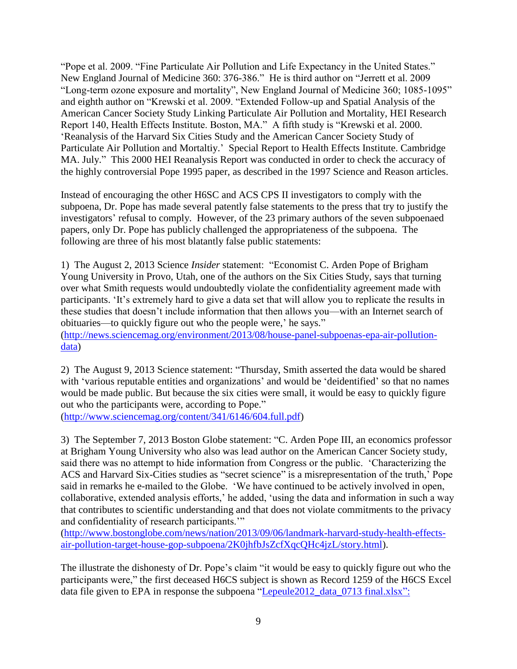"Pope et al. 2009. "Fine Particulate Air Pollution and Life Expectancy in the United States." New England Journal of Medicine 360: 376-386." He is third author on "Jerrett et al. 2009 "Long-term ozone exposure and mortality", New England Journal of Medicine 360; 1085-1095" and eighth author on "Krewski et al. 2009. "Extended Follow-up and Spatial Analysis of the American Cancer Society Study Linking Particulate Air Pollution and Mortality, HEI Research Report 140, Health Effects Institute. Boston, MA." A fifth study is "Krewski et al. 2000. 'Reanalysis of the Harvard Six Cities Study and the American Cancer Society Study of Particulate Air Pollution and Mortaltiy.' Special Report to Health Effects Institute. Cambridge MA. July." This 2000 HEI Reanalysis Report was conducted in order to check the accuracy of the highly controversial Pope 1995 paper, as described in the 1997 Science and Reason articles.

Instead of encouraging the other H6SC and ACS CPS II investigators to comply with the subpoena, Dr. Pope has made several patently false statements to the press that try to justify the investigators' refusal to comply. However, of the 23 primary authors of the seven subpoenaed papers, only Dr. Pope has publicly challenged the appropriateness of the subpoena. The following are three of his most blatantly false public statements:

1) The August 2, 2013 Science *Insider* statement: "Economist C. Arden Pope of Brigham Young University in Provo, Utah, one of the authors on the Six Cities Study, says that turning over what Smith requests would undoubtedly violate the confidentiality agreement made with participants. 'It's extremely hard to give a data set that will allow you to replicate the results in these studies that doesn't include information that then allows you—with an Internet search of obituaries—to quickly figure out who the people were,' he says." [\(http://news.sciencemag.org/environment/2013/08/house-panel-subpoenas-epa-air-pollution-](http://news.sciencemag.org/environment/2013/08/house-panel-subpoenas-epa-air-pollution-data)

[data\)](http://news.sciencemag.org/environment/2013/08/house-panel-subpoenas-epa-air-pollution-data)

2) The August 9, 2013 Science statement: "Thursday, Smith asserted the data would be shared with 'various reputable entities and organizations' and would be 'deidentified' so that no names would be made public. But because the six cities were small, it would be easy to quickly figure out who the participants were, according to Pope."

[\(http://www.sciencemag.org/content/341/6146/604.full.pdf\)](http://www.sciencemag.org/content/341/6146/604.full.pdf)

3) The September 7, 2013 Boston Globe statement: "C. Arden Pope III, an economics professor at Brigham Young University who also was lead author on the American Cancer Society study, said there was no attempt to hide information from Congress or the public. 'Characterizing the ACS and Harvard Six-Cities studies as "secret science" is a misrepresentation of the truth,' Pope said in remarks he e-mailed to the Globe. 'We have continued to be actively involved in open, collaborative, extended analysis efforts,' he added, 'using the data and information in such a way that contributes to scientific understanding and that does not violate commitments to the privacy and confidentiality of research participants.'"

[\(http://www.bostonglobe.com/news/nation/2013/09/06/landmark-harvard-study-health-effects](http://www.bostonglobe.com/news/nation/2013/09/06/landmark-harvard-study-health-effects-air-pollution-target-house-gop-subpoena/2K0jhfbJsZcfXqcQHc4jzL/story.html)[air-pollution-target-house-gop-subpoena/2K0jhfbJsZcfXqcQHc4jzL/story.html\)](http://www.bostonglobe.com/news/nation/2013/09/06/landmark-harvard-study-health-effects-air-pollution-target-house-gop-subpoena/2K0jhfbJsZcfXqcQHc4jzL/story.html).

The illustrate the dishonesty of Dr. Pope's claim "it would be easy to quickly figure out who the participants were," the first deceased H6CS subject is shown as Record 1259 of the H6CS Excel data file given to EPA in response the subpoena "Lepeule2012\_data\_0713 final.xlsx":